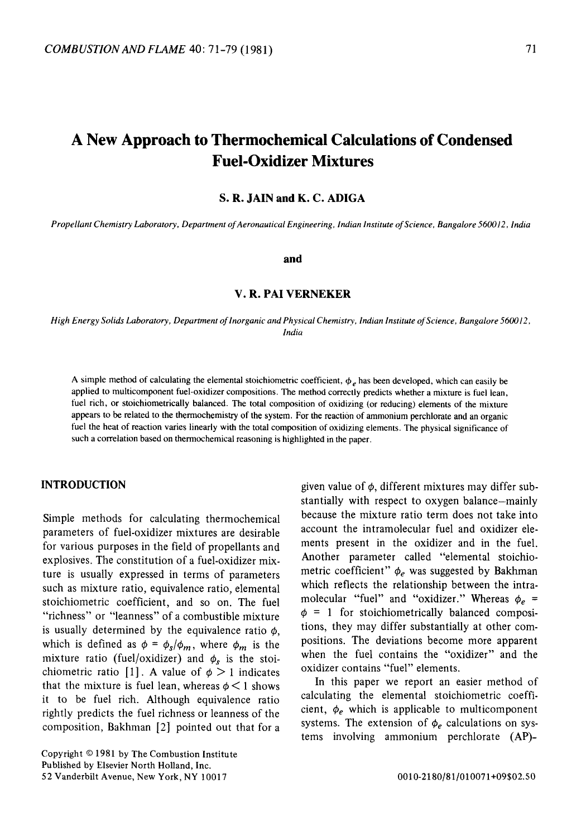# **A New Approach to Thermochemical Calculations of Condensed Fuel-Oxidizer Mixtures**

#### **S. R. JAIN and K. C. ADIGA**

*Propellant Chemistry Laboratory, Department of Aeronautical Engineering, Indian Institute of Science, Bangalore 560012, India* 

**and** 

#### **V. R. PAl VERNEKER**

*High Energy Solids Laboratory, Department of Inorganic and Physical Chemistry., Indian Institute of Science, Bangalore 560012, India* 

A simple method of calculating the elemental stoichiometric coefficient,  $\phi_e$  has been developed, which can easily be applied to multicomponent fuel-oxidizer compositions. The method correctly predicts whether a mixture is fuel lean, fuel rich, or stoichiometrically balanced. The total composition of oxidizing (or reducing) elements of the mixture appears to be related to the thermochemistry of the system. For the reaction of ammonium perchlorate and an organic fuel the heat of reaction varies linearly with the total composition of oxidizing elements. The physical significance of such a correlation based on thermochemical reasoning is highlighted in the paper.

such as mixture ratio, equivalence ratio, elemental "richness" or "leanness" of a combustible mixture  $q = 1$  for stoichiometrically balanced compositions, they may differ substantially at other comis usually determined by the equivalence ratio  $\phi$ , which is defined as  $\phi = \phi_s/\phi_m$ , where  $\phi_m$  is the positions. The deviations become more apparent<br>mixture ratio (fuel/oxidizer) and  $\phi$  is the stoi mixture ratio (fuel/oxidizer) and  $\phi_s$  is the stoi-<br>chiometric ratio  $\begin{bmatrix} 1 & 1 & w \end{bmatrix}$  when the fuel contains "fuel" elements. chiometric ratio [1]. A value of  $\phi > 1$  indicates that the mixture is fuel lean, whereas  $\phi < 1$  shows In this paper we report an easier method of it to be fuel rich. Although equivalence ratio calculating the elemental stoichiometric coeffirightly predicts the fuel richness or leanness of the cient,  $\phi_e$  which is applicable to multicomponent composition, Bakhman [2] pointed out that for a systems. The extension of  $\phi_e$  calculations on sys-

**INTRODUCTION** given value of  $\phi$ , different mixtures may differ substantially with respect to oxygen balance-mainly Simple methods for calculating thermochemical because the mixture ratio term does not take into parameters of fuel-oxidizer mixtures are desirable<br>for various nurmoses in the field of propellants and ments present in the oxidizer and in the fuel. for various purposes in the field of propellants and ments present in the oxidizer and in the fuel.<br>explosives The constitution of a fuel-oxidizer mix. Another parameter called "elemental stoichioexplosives. The constitution of a fuel-oxidizer mix-<br>ture is usually expressed in terms of parameters metric coefficient"  $\phi_e$  was suggested by Bakhman ture is usually expressed in terms of parameters metric coefficient"  $\varphi_e$  was suggested by Bakhman such as mixture ratio equivalence ratio elemental which reflects the relationship between the intrastoichiometric coefficient, and so on. The fuel molecular "fuel" and "oxidizer." Whereas  $\phi_e$  =<br>"richness" or "leanness" of a combustible mixture  $\phi$  = 1 for stoichiometrically balanced composi-

tems involving ammonium perchlorate (AP)-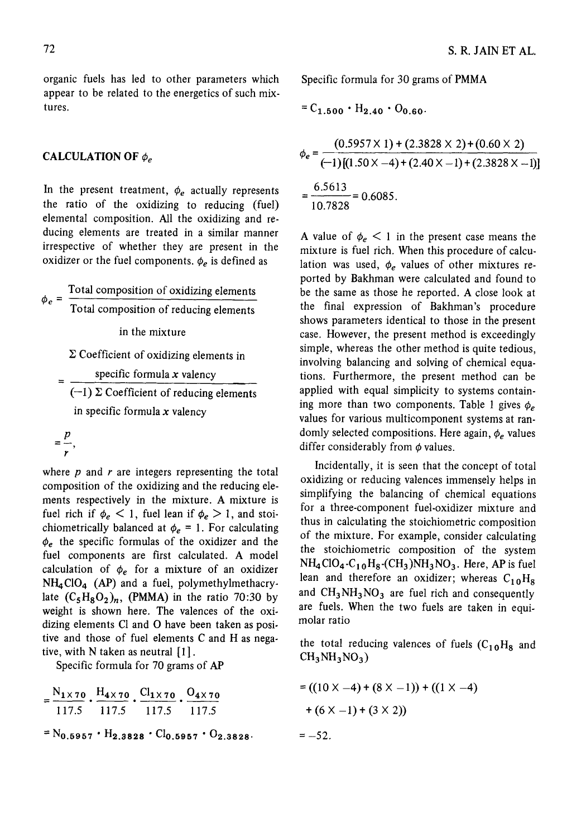organic fuels has led to other parameters which Specific formula for 30 grams of PMMA appear to be related to the energetics of such mixtures.  $= C_{1.500} \cdot H_{2.40} \cdot O_{0.60}$ .

## CALCULATION OF  $\phi_e$   $\qquad \qquad$   $\qquad \qquad$

In the present treatment,  $\phi_e$  actually represents the ratio of the oxidizing to reducing  $(tue)$  10.7828 elemental composition. All the oxidizing and reducing elements are treated in a similar manner A value of  $\phi_e$  < 1 in the present case means the irrespective of whether they are present in the mixture is fuel rich. When this procedure of calcu-

$$
=\frac{p}{r},
$$

 $\phi_e$  the specific formulas of the oxidizer and the of the mixture. For example, consider calculating<br>fuel components are first calculated. A model fuel components are first calculated. A model<br>coloniation of  $\phi$  for a mixture of an oxidizer  $NH_4ClO_4 \cdot C_{10}H_8 \cdot (CH_3)NH_3NO_3$ . Here, AP is fuel calculation of  $\phi_e$  for a mixture of an oxidizer  $\begin{array}{c} N\text{H}_4\text{Cl}_2\text{Cl}_4\text{Cl}_3\text{O}_4\text{Cl}_3\text{O}_3. \text{ Here, AF is the} \\ \text{NH}_6\text{Cl}_2\text{Cl}_3\text{O}_4\text{O}_4\text{O}_3\text{O}_3\text{O}_4\text{O}_4\text{O}_5\text{O}_4\text{O}_4\text{O}_4\text{O}_4\text{O}_4\text{O}_4\text{O}_4\text{O}_4\$  $NH_4ClO_4$  (AP) and a fuel, polymethylmethacry-<br>late  $(C_4H_2O_4)$  (PMMA) in the ratio 70:30 by and  $CH_3NH_3NO_3$  are fuel rich and consequently late  $(C_5H_8O_2)_n$ , (PMMA) in the ratio 70:30 by and  $C_3H_3NO_3$  are fuel rich and consequently uncight is shown here. The valences of the oxis are fuels. When the two fuels are taken in equiweight is shown here. The valences of the oxi-<br>dizing elements  $Cl$  and  $Q$  hous been taken as not molar ratio dizing elements  $Cl$  and  $O$  have been taken as positive and those of fuel elements C and H as nega-<br>the total reducing valences of fuels  $(C_{10}H_8$  and tive, with N taken as neutral  $[1]$ .  $CH_3NH_3NO_3$ 

Specific formula for 70 grams of AP

$$
=\frac{N_{1\times70}}{117.5} \cdot \frac{H_{4\times70}}{117.5} \cdot \frac{C_{1\times70}}{117.5} \cdot \frac{O_{4\times70}}{117.5} = ((10 \times -4) + (8 \times -1)) + ((1 \times -4) + (8 \times -1)) + (1 \times -4)
$$
  
+ (6 \times -1) + (3 \times 2))  
= N\_{0.5957} \cdot H\_{2.3828} \cdot C\_{0.5957} \cdot O\_{2.3828} = -52.

$$
= C_{1.500} \cdot H_{2.40} \cdot O_{0.60}.
$$
  
\n
$$
\phi_e = \frac{(0.5957 \times 1) + (2.3828 \times 2) + (0.60 \times 2)}{(-1)[(1.50 \times -4) + (2.40 \times -1) + (2.3828 \times -1)]}
$$
  
\n
$$
= \frac{6.5613}{10.7828} = 0.6085.
$$

oxidizer or the fuel components,  $\phi_e$  is defined as lation was used,  $\phi_e$  values of other mixtures reported by Bakhman were calculated and found to be the same as those he reported. A close look at  $\phi_e = \frac{\text{Total composition of oxidizing elements}}{\text{Total composition of reducing elements}}$  the final expression of Bakhman's procedure shows parameters identical to those in the present in the mixture case. However, the present method is exceedingly simple, whereas the other method is quite tedious,  $\Sigma$  Coefficient of oxidizing elements in involving balancing and solving of chemical equaspecific formula x valency tions. Furthermore, the present method can be  $(-1)$   $\Sigma$  Coefficient of reducing elements applied with equal simplicity to systems containing more than two components. Table 1 gives  $\phi_e$ in specific formula x valency values for various multicomponent systems at randomly selected compositions. Here again,  $\phi_e$  values differ considerably from  $\phi$  values.

where  $p$  and  $r$  are integers representing the total  $\frac{1}{2}$  Incidentally, it is seen that the concept of total corresponding of the original parameters immensely helps in composition of the oxidizing and the reducing ele-<br>simplifying the balancing of chemical equations ments respectively in the mixture. A mixture is simplifying the balancing of chemical equations  $\int_{0}^{2}$  for a three-component fuel-oxidizer mixture and fuel rich if  $\phi_e < 1$ , fuel lean if  $\phi_e > 1$ , and stoi-<br>thus in calculating the stoichiometric composition chiometrically balanced at  $\phi_e = 1$ . For calculating thus in calculating the stoichiometric composition

$$
= ((10 \times -4) + (8 \times -1)) + ((1 \times -4) + (6 \times -1) + (3 \times 2))
$$
  
= 52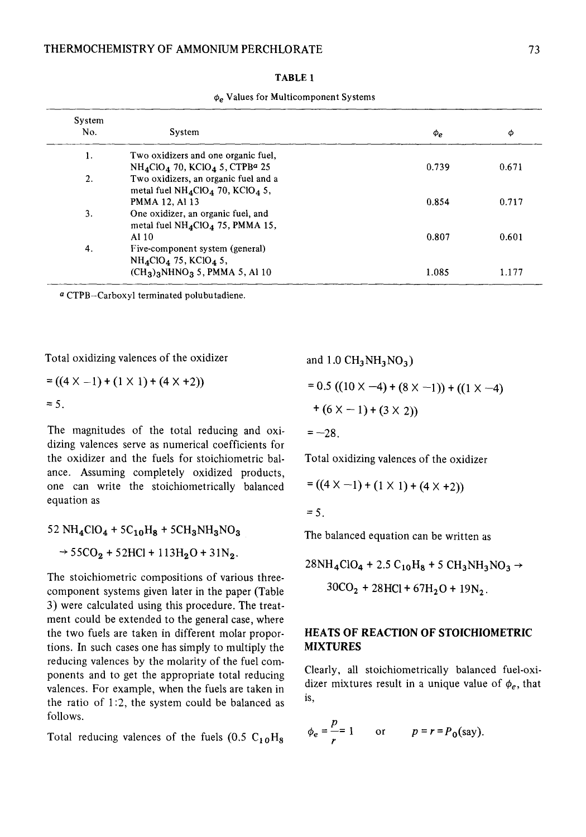| . |  |
|---|--|
|---|--|

 $\phi_{e}$  Values for Multicomponent Systems

| System<br>No. | System                                                    | Фe    | Φ     |
|---------------|-----------------------------------------------------------|-------|-------|
| 1.            | Two oxidizers and one organic fuel,                       |       |       |
|               | $NH_4ClO_4$ 70, KClO <sub>4</sub> 5, CTPB <sup>a</sup> 25 | 0.739 | 0.671 |
| 2.            | Two oxidizers, an organic fuel and a                      |       |       |
|               | metal fuel $NH_4ClO_4$ 70, KClO <sub>4</sub> 5,           |       |       |
|               | PMMA 12, Al 13                                            | 0.854 | 0.717 |
| 3.            | One oxidizer, an organic fuel, and                        |       |       |
|               | metal fuel $NH_4ClO_4$ 75, PMMA 15,                       |       |       |
|               | A1 10                                                     | 0.807 | 0.601 |
| 4.            | Five-component system (general)                           |       |       |
|               | $NH_4ClO_4$ 75, KClO <sub>4</sub> 5,                      |       |       |
|               | $(CH3)3NHNO3 5, PMMA 5, A1 10$                            | 1.085 | 1.177 |

a CTPB-Carboxyl terminated polubutadiene.

Total oxidizing valences of the oxidizer and  $1.0 \text{ CH}_3\text{NH}_3\text{NO}_3$ )

$$
=((4 \times -1) + (1 \times 1) + (4 \times +2))
$$

The magnitudes of the total reducing and  $oxi = -28$ . dizing valences serve as numerical coefficients for the oxidizer and the fuels for stoichiometric bal- Total oxidizing valences of the oxidizer ance. Assuming completely oxidized products, one can write the stoichiometrically balanced equation as

$$
52 \text{ NH}_4\text{ClO}_4 + 5\text{C}_{10}\text{H}_8 + 5\text{CH}_3\text{NH}_3\text{NO}_3
$$

$$
\rightarrow 55\text{CO}_2 + 52\text{HCl} + 113\text{H}_2\text{O} + 31\text{N}_2.
$$

The stoichiometric compositions of various threecomponent systems given later in the paper (Table 3) were calculated using this procedure. The treatment could be extended to the general case, where the two fuels are taken in different molar propor- HEATS OF REACTION OF STOICHIOMETRIC tions. In such cases one has simply to multiply the MIXTURES reducing valences by the molarity of the fuel components and to get the appropriate total reducing Clearly, all stoichiometrically balanced fuel-oxi-<br>ponents and to get the appropriate total reducing dizer mixtures result in a unique value of  $\phi_e$ , that valences. For example, when the fuels are taken in  $\frac{du}{dt}$ , the system could be belonged as is, the ratio of  $1:2$ , the system could be balanced as follows.

Total reducing valences of the fuels (0.5  $C_{10}H_8$ 

 $= 0.5 ((10 \times -4) + (8 \times -1)) + ((1 \times -4))$  $= 5.$  + (6 X --1) + (3 X 2))

$$
=((4 \times -1) + (1 \times 1) + (4 \times +2))
$$

$$
= 5.
$$

The balanced equation can be written as

$$
28NH_4ClO_4 + 2.5 C_{10}H_8 + 5 CH_3NH_3NO_3 \rightarrow 30CO_2 + 28HCl + 67H_2O + 19N_2.
$$

$$
\phi_e = \frac{p}{r} = 1 \qquad \text{or} \qquad p = r = P_0(\text{say})
$$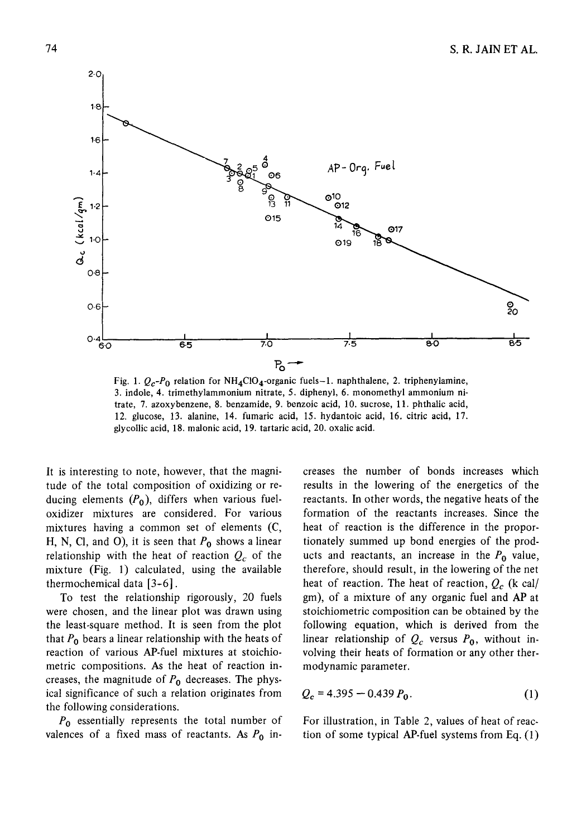

Fig. 1.  $Q_c-P_0$  relation for  $NH_4ClO_4$ -organic fuels-1. naphthalene, 2. triphenylamine, 3. indole, 4. trimethylammonium nitrate, 5. diphenyl, 6. monomethyl ammonium nitrate, 7. azoxybenzene, 8. benzamide, 9. benzoic acid, 10. sucrose, 11. phthalic acid, 12. glucose, 13. alanine, 14. fumaric acid, 15. hydantoic acid, 16. citric acid, 17. glycollic acid, 18. malonic acid, 19. tartaric acid, 20. oxalic acid.

metric compositions. As the heat of reaction in-<br>modynamic parameter. creases, the magnitude of  $P_0$  decreases. The physical significance of such a relation originates from the following considerations.

 $P_0$  essentially represents the total number of For illustration, in Table 2, values of heat of reacvalences of a fixed mass of reactants. As  $P_0$  in- tion of some typical AP-fuel systems from Eq. (1)

It is interesting to note, however, that the magni-<br>creases the number of bonds increases which tude of the total composition of oxidizing or re- results in the lowering of the energetics of the ducing elements  $(P_0)$ , differs when various fuel-<br>reactants. In other words, the negative heats of the oxidizer mixtures are considered. For various formation of the reactants increases. Since the mixtures having a common set of elements (C, heat of reaction is the difference in the propor-H, N, Cl, and O), it is seen that  $P_0$  shows a linear tionately summed up bond energies of the prodrelationship with the heat of reaction  $Q_c$  of the ucts and reactants, an increase in the  $P_0$  value, mixture (Fig. 1) calculated, using the available therefore, should result, in the lowering of the net thermochemical data  $[3-6]$ . heat of reaction. The heat of reaction,  $Q_c$  (k cal/ To test the relationship rigorously, 20 fuels gm), of a mixture of any organic fuel and AP at were chosen, and the linear plot was drawn using stoichiometric composition can be obtained by the the least-square method. It is seen from the plot following equation, which is derived from the that  $P_0$  bears a linear relationship with the heats of linear relationship of  $Q_c$  versus  $P_0$ , without inreaction of various AP-fuel mixtures at stoichio-<br>volving their heats of formation or any other ther-

$$
Q_c = 4.395 - 0.439 P_0. \tag{1}
$$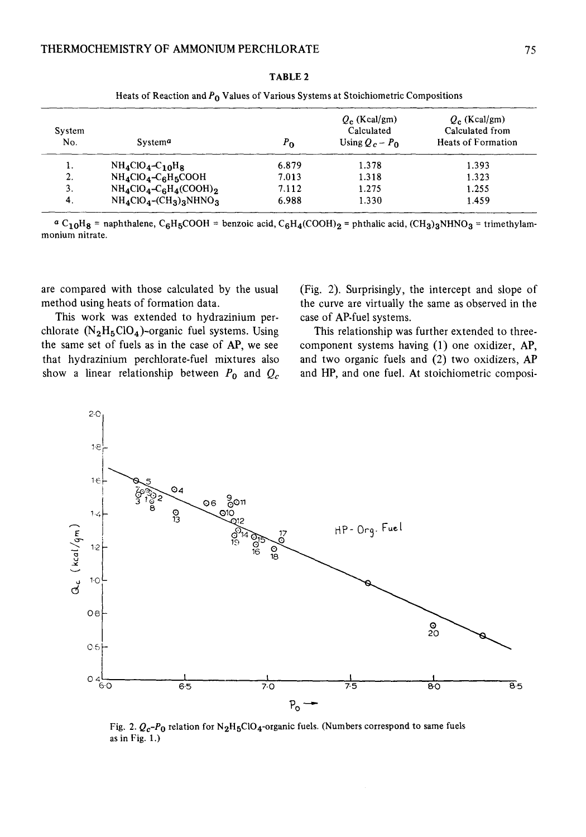| System<br>No.    | System <sup>a</sup>                                            | $P_{0}$ | $Q_c$ (Kcal/gm)<br>Calculated<br>Using $Q_c - P_0$ | $Q_c$ (Kcal/gm)<br>Calculated from<br><b>Heats of Formation</b> |
|------------------|----------------------------------------------------------------|---------|----------------------------------------------------|-----------------------------------------------------------------|
| 1.               | $NH_4ClO_4-C_{10}H_R$                                          | 6.879   | 1.378                                              | 1.393                                                           |
| $\overline{2}$ . | $NH_4ClO_4-C_6H_5COOH$                                         | 7.013   | 1.318                                              | 1.323                                                           |
| 3.               | $NH_4ClO_4-C_6H_4(COOH)_2$                                     | 7.112   | 1.275                                              | 1.255                                                           |
| 4.               | $NH_4ClO_4$ -(CH <sub>3</sub> ) <sub>3</sub> NHNO <sub>3</sub> | 6.988   | 1.330                                              | 1.459                                                           |

**TABLE 2**  Heats of Reaction and P<sub>O</sub> Values of Various Systems at Stoichiometric Compositions

a C1oH 8 = naphthalene, C6HsCOOH = **benzoic acid,** C6H4(COOH) 2 = **phthalic acid,** (CH3)3NHNO 8 = **trimethylammonium nitrate.** 

**This work was extended to hydrazinium per- case of AP-fuel systems.**  chlorate (N<sub>2</sub>H<sub>5</sub>ClO<sub>4</sub>)-organic fuel systems. Using This relationship was further extended to three**the same set of fuels as in the case of AP, we see component systems having (1) one oxidizer, AP, that hydrazinium perchlorate-fuel mixtures also and two organic fuels and (2) two oxidizers, AP**  show a linear relationship between  $P_0$  and  $Q_c$  and HP, and one fuel. At stoichiometric composi-

**are compared with those calculated by the usual (Fig. 2). Surprisingly, the intercept and slope of method using heats of formation data. the curve are virtually the same as observed in the** 



Fig. 2.  $Q_c-P_0$  relation for N<sub>2</sub>H<sub>5</sub>ClO<sub>4</sub>-organic fuels. (Numbers correspond to same fuels **as in** Fig. 1.)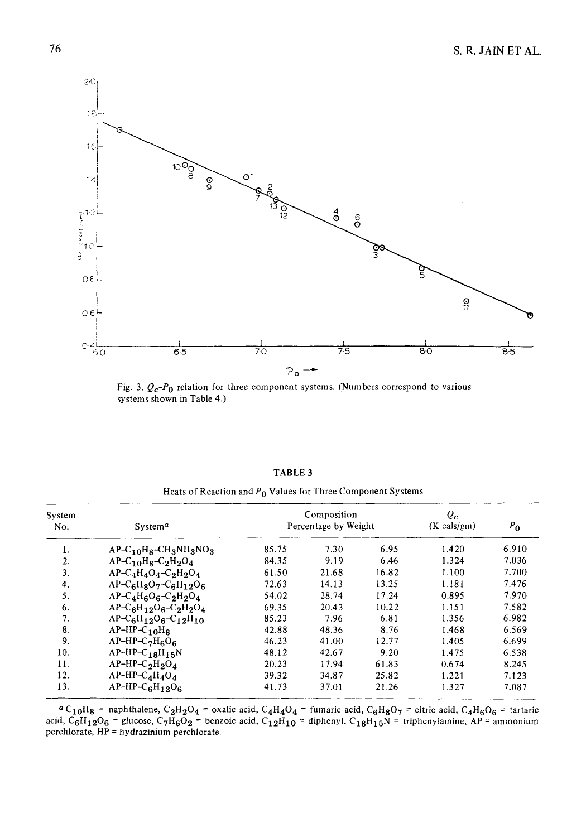

Fig. 3. *Qc-Po* relation for three component systems. (Numbers correspond to various systems shown in Table 4.)

### TABLE 3

Heats of Reaction and  $P_0$  Values for Three Component Systems

| System<br>No.    | $S$ ystem <sup>a</sup>             | Composition<br>Percentage by Weight |       |       | $\varrho_c$<br>$(K \text{ calls}/gm)$ | $P_{0}$ |
|------------------|------------------------------------|-------------------------------------|-------|-------|---------------------------------------|---------|
| 1.               | $AP-C10H8-CH3NH3NO3$               | 85.75                               | 7.30  | 6.95  | 1.420                                 | 6.910   |
| $\overline{2}$ . | $AP-C_{10}H_{8}-C_{2}H_{2}O_{4}$   | 84.35                               | 9.19  | 6.46  | 1.324                                 | 7.036   |
| 3.               | $AP-C_4H_4O_4-C_2H_2O_4$           | 61.50                               | 21.68 | 16.82 | 1.100                                 | 7.700   |
| $\overline{4}$ . | $AP - C_6H_8O_7 - C_6H_{12}O_6$    | 72.63                               | 14.13 | 13.25 | 1.181                                 | 7.476   |
| 5.               | $AP - C_4H_6O_6 - C_2H_2O_4$       | 54.02                               | 28.74 | 17.24 | 0.895                                 | 7.970   |
| 6.               | $AP - C_6H_{12}O_6 - C_2H_2O_4$    | 69.35                               | 20.43 | 10.22 | 1.151                                 | 7.582   |
| 7.               | $AP - C_6H_{12}O_6 - C_{12}H_{10}$ | 85.23                               | 7.96  | 6.81  | 1.356                                 | 6.982   |
| 8.               | $AP-HP-C10H8$                      | 42.88                               | 48.36 | 8.76  | 1.468                                 | 6.569   |
| 9.               | $AP-HP-C7H6O6$                     | 46.23                               | 41.00 | 12.77 | 1.405                                 | 6.699   |
| 10.              | $AP-HP-C_{18}H_{15}N$              | 48.12                               | 42.67 | 9.20  | 1.475                                 | 6.538   |
| 11.              | $AP-HP-C2H2O4$                     | 20.23                               | 17.94 | 61.83 | 0.674                                 | 8.245   |
| 12.              | $AP-HP-C_4H_4O_4$                  | 39.32                               | 34.87 | 25.82 | 1.221                                 | 7.123   |
| 13.              | $AP-HP-C6H12O6$                    | 41.73                               | 37.01 | 21.26 | 1.327                                 | 7.087   |

 $a\ C_{10}{\rm H}_8$  = naphthalene,  $\rm C_2H_2O_4$  = oxalic acid,  $\rm C_4H_4O_4$  = fumaric acid,  $\rm C_6H_8O_7$  = citric acid,  $\rm C_4H_6O_6$  = tartaric acid,  $C_6H_1_2O_6$  = glucose,  $C_7H_6O_2$  = benzoic acid,  $C_{12}H_{10}$  = diphenyl,  $C_{18}H_{15}$ N = triphenylamine, AP = ammonium perchlorate, HP = hydrazinium perchlorate.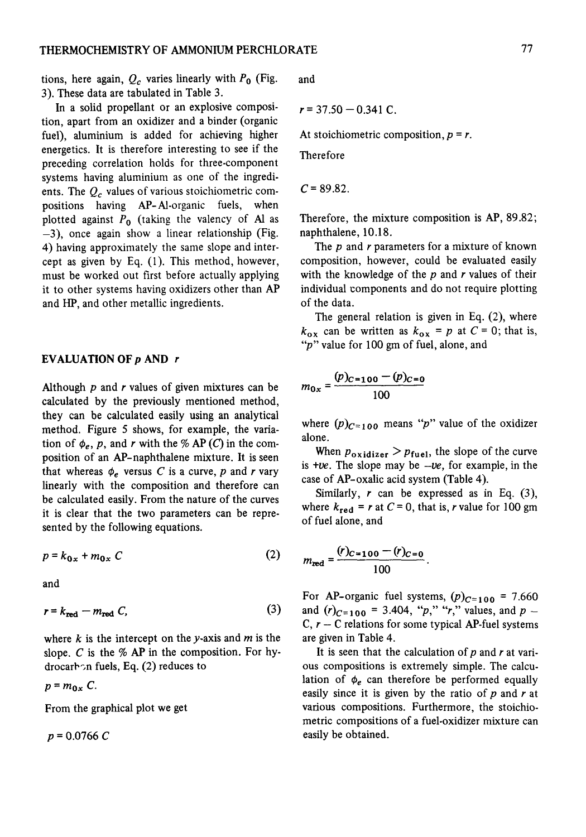tions, here again,  $Q_c$  varies linearly with  $P_0$  (Fig. and 3). These data are tabulated in Table 3.

In a solid propellant or an explosive composi-  $r = 37.50 - 0.341$  C. tion, apart from an oxidizer and a binder (organic fuel), aluminium is added for achieving higher At stoichiometric composition,  $p = r$ . energetics. It is therefore interesting to see if the Therefore preceding correlation holds for three-component systems having aluminium as one of the ingredients. The  $Q_c$  values of various stoichiometric com-  $C = 89.82$ . positions having AP-Al-organic fuels, when plotted against  $P_0$  (taking the valency of Al as Therefore, the mixture composition is AP, 89.82; -3), once again show a linear relationship (Fig. naphthalene, 10.18. 4) having approximately the same slope and inter- The  $p$  and  $r$  parameters for a mixture of known cept as given by Eq. (1). This method, however, composition, however, could be evaluated easily must be worked out first before actually applying with the knowledge of the  $p$  and  $r$  values of their it to other systems having oxidizers other than AP individual components and do not require plotting and HP, and other metallic ingredients. The of the data.

#### EVALUATION OF  $p$  AND  $r$

Although  $p$  and  $r$  values of given mixtures can be  $m$ calculated by the previously mentioned method, they can be calculated easily using an analytical method. Figure 5 shows, for example, the varia-<br>alone. tion of  $\phi_e$ , p, and r with the % AP (C) in the com-<br>nosition of an AP-naphthalene mixture. It is seen When  $p_{\text{oxidizer}} > p_{\text{fuel}}$ , the slope of the curve position of an AP-naphthalene mixture. It is seen<br>that when example, in the slope may be  $-ve$ , for example, in the that whereas  $\phi_e$  versus C is a curve, p and r vary is the slope may be  $-\omega$ , for example, in the slope may case of AP-oxalic acid system (Table 4). linearly with the composition and therefore can<br>he calculated as in Eq. (3). be calculated easily. From the nature of the curves<br>it is also that the two parameters can be rapped where  $k_{\text{red}} = r$  at  $C = 0$ , that is, r value for 100 gm it is clear that the two parameters can be repre-<br>of fuel alone, and sented by the following equations.

$$
p = k_{0x} + m_{0x} C \tag{2}
$$

and

$$
r = k_{\text{red}} - m_{\text{red}} C,\tag{3}
$$

where k is the intercept on the y-axis and m is the are given in Table 4. slope. C is the % AP in the composition. For hy-<br>It is seen that the calculation of p and r at varidrocarbon fuels, Eq. (2) reduces to ous compositions is extremely simple. The calcu-

$$
p = m_{0x} C
$$

The general relation is given in Eq. (2), where  $k_{\text{o}x}$  can be written as  $k_{\text{o}x} = p$  at  $C = 0$ ; that is, "p" value for 100 gm of fuel, alone, and

$$
m_{0x} = \frac{(p)_{C=100} - (p)_{C=0}}{100}
$$

$$
m_{\text{red}} = \frac{(r)_{C=100} - (r)_{C=0}}{100}.
$$

For AP-organic fuel systems,  $(p)_{C=100}$  = 7.660 and  $(r)_{C=100}$  = 3.404, "p," "r," values, and p -C,  $r - C$  relations for some typical AP-fuel systems

*lation* of  $\phi_e$  can therefore be performed equally easily since it is given by the ratio of  $p$  and  $r$  at From the graphical plot we get various compositions. Furthermore, the stoichiometric compositions of a fuel-oxidizer mixture can  $p = 0.0766 C$  easily be obtained.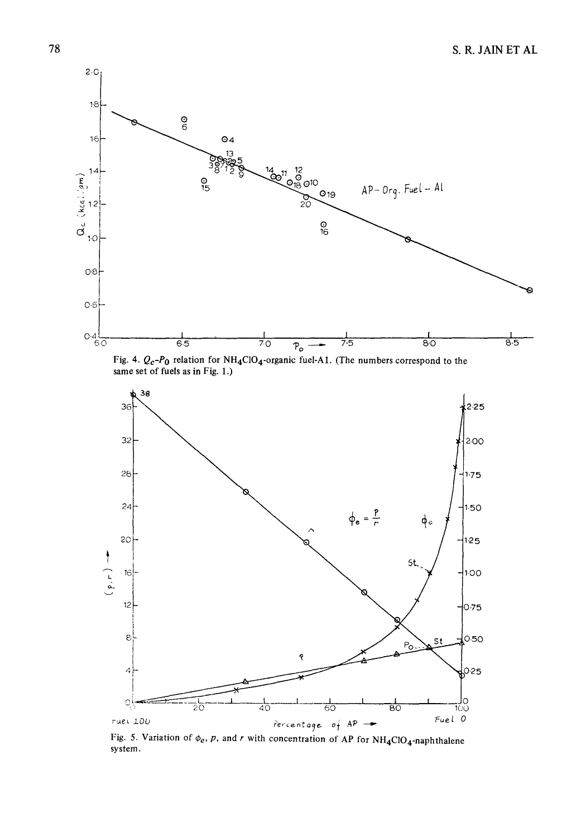

Fig. 4.  $Q_c-P_0$  relation for  $NH_4ClO_4$ -organic fuel-A1. (The numbers correspond to the same set of fuels as in Fig. 1 .)



Fig. 5. Variation of  $\phi_e$ , p, and r with concentration of AP for NH<sub>4</sub>ClO<sub>4</sub>-naphthalene system.